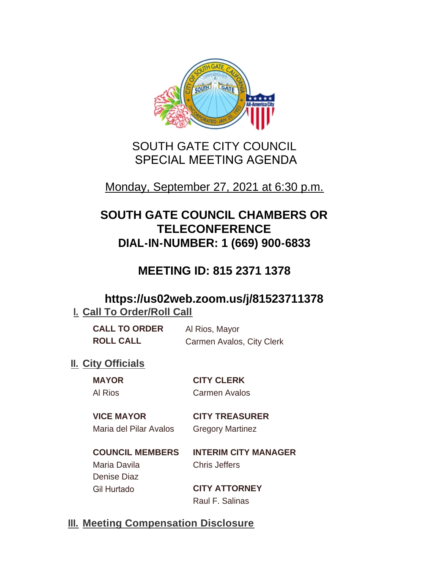

# SOUTH GATE CITY COUNCIL SPECIAL MEETING AGENDA

# Monday, September 27, 2021 at 6:30 p.m.

# **SOUTH GATE COUNCIL CHAMBERS OR TELECONFERENCE DIAL-IN-NUMBER: 1 (669) 900-6833**

# **MEETING ID: 815 2371 1378**

## **https://us02web.zoom.us/j/81523711378 I. Call To Order/Roll Call**

| <b>CALL TO ORDER</b> | Al Rios, Mayor            |
|----------------------|---------------------------|
| <b>ROLL CALL</b>     | Carmen Avalos, City Clerk |

## **II.** City Officials

**MAYOR CITY CLERK** Al Rios Carmen Avalos

### **VICE MAYOR CITY TREASURER** Maria del Pilar Avalos Gregory Martinez

**COUNCIL MEMBERS INTERIM CITY MANAGER** Maria Davila Chris Jeffers Denise Diaz Gil Hurtado **CITY ATTORNEY**

Raul F. Salinas

## **Meeting Compensation Disclosure III.**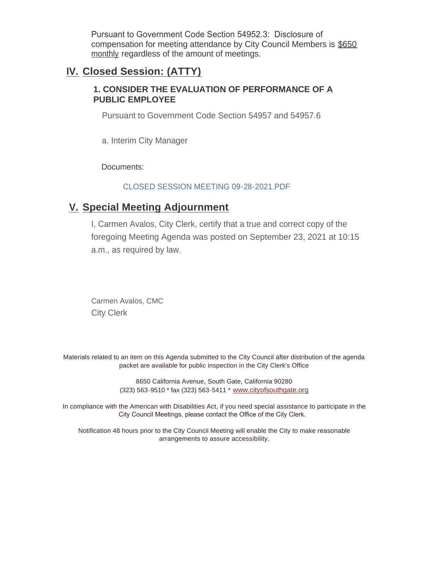Pursuant to Government Code Section 54952.3: Disclosure of compensation for meeting attendance by City Council Members is \$650 monthly regardless of the amount of meetings.

### **Closed Session: (ATTY) IV.**

### **1. CONSIDER THE EVALUATION OF PERFORMANCE OF A PUBLIC EMPLOYEE**

Pursuant to Government Code Section 54957 and 54957.6

a. Interim City Manager

Documents:

#### CLOSED SESSION MEETING 09-28-2021.PDF

## **Special Meeting Adjournment V.**

I, Carmen Avalos, City Clerk, certify that a true and correct copy of the foregoing Meeting Agenda was posted on September 23, 2021 at 10:15 a.m., as required by law.

Carmen Avalos, CMC City Clerk

Materials related to an item on this Agenda submitted to the City Council after distribution of the agenda packet are available for public inspection in the City Clerk's Office

> 8650 California Avenue, South Gate, California 90280 (323) 563-9510 \* fax (323) 563-5411 \* [www.cityofsouthgate.org](http://www.cityofsouthgate.org/)

In compliance with the American with Disabilities Act, if you need special assistance to participate in the City Council Meetings, please contact the Office of the City Clerk.

Notification 48 hours prior to the City Council Meeting will enable the City to make reasonable arrangements to assure accessibility.